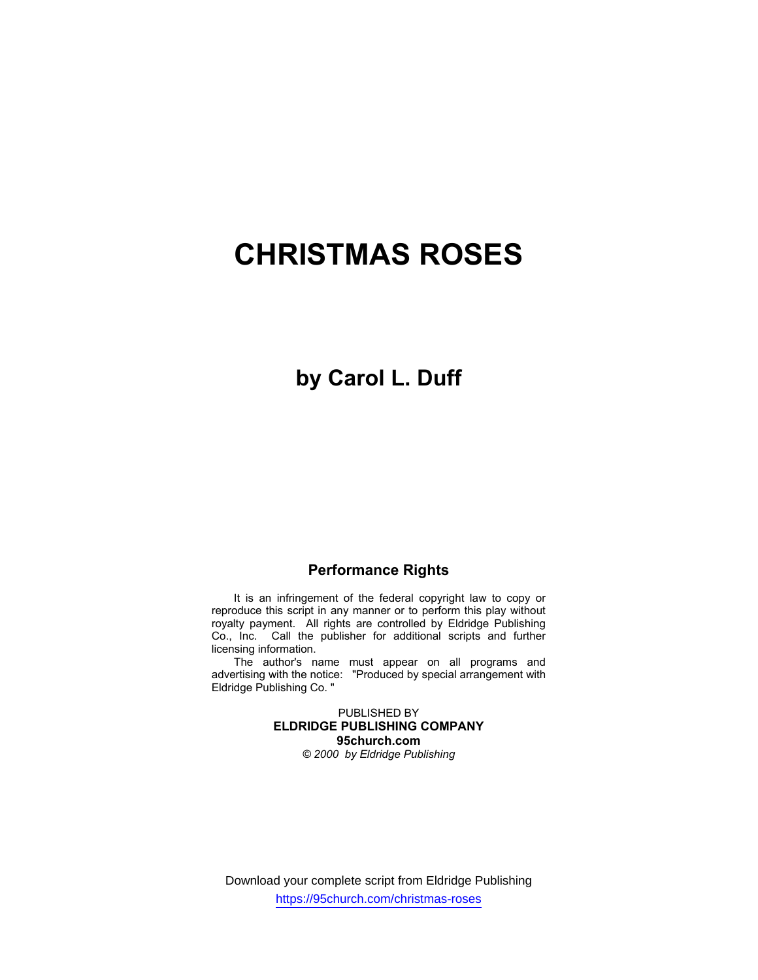# **CHRISTMAS ROSES**

## **by Carol L. Duff**

### **Performance Rights**

It is an infringement of the federal copyright law to copy or reproduce this script in any manner or to perform this play without royalty payment. All rights are controlled by Eldridge Publishing Co., Inc. Call the publisher for additional scripts and further licensing information.

The author's name must appear on all programs and advertising with the notice: "Produced by special arrangement with Eldridge Publishing Co. "

> PUBLISHED BY **ELDRIDGE PUBLISHING COMPANY 95church.com** *© 2000 by Eldridge Publishing*

Download your complete script from Eldridge Publishing https://95church.com/christmas-roses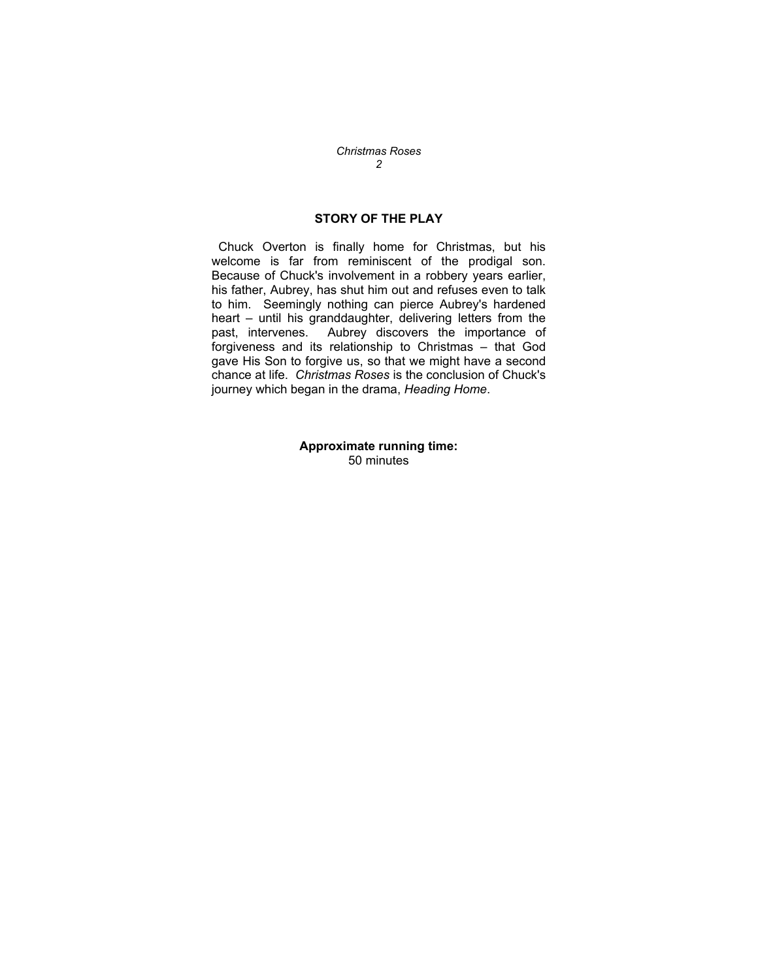## **STORY OF THE PLAY**

 Chuck Overton is finally home for Christmas, but his welcome is far from reminiscent of the prodigal son. Because of Chuck's involvement in a robbery years earlier, his father, Aubrey, has shut him out and refuses even to talk to him. Seemingly nothing can pierce Aubrey's hardened heart – until his granddaughter, delivering letters from the past, intervenes. Aubrey discovers the importance of forgiveness and its relationship to Christmas – that God gave His Son to forgive us, so that we might have a second chance at life. *Christmas Roses* is the conclusion of Chuck's journey which began in the drama, *Heading Home*.

> **Approximate running time:**  50 minutes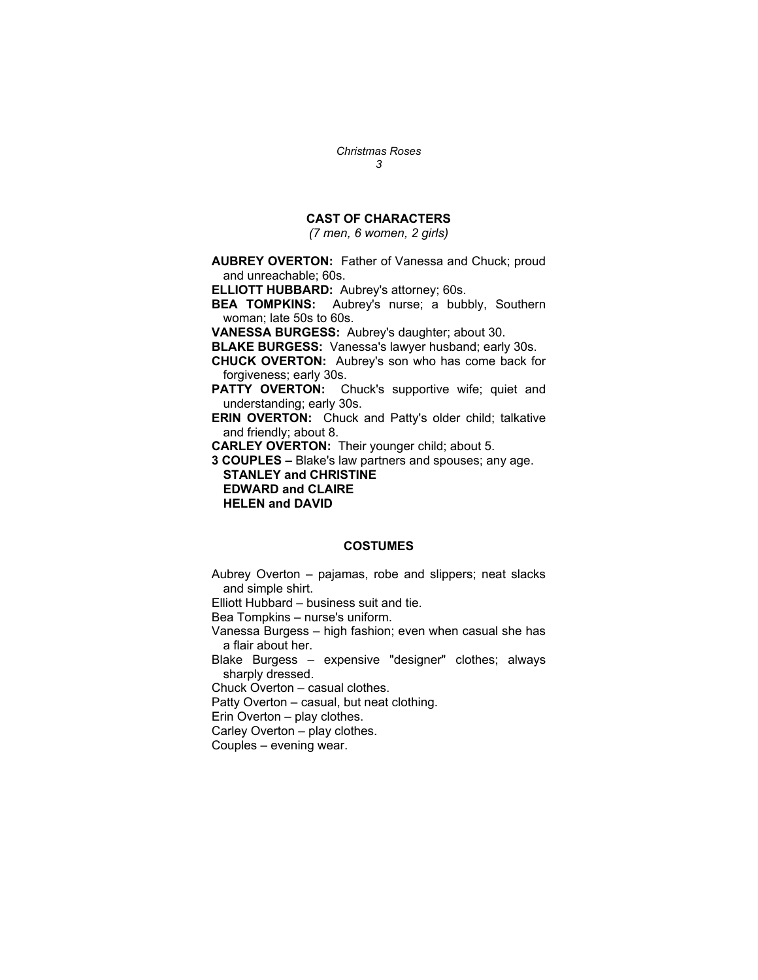## **CAST OF CHARACTERS**

*(7 men, 6 women, 2 girls)* 

**AUBREY OVERTON:** Father of Vanessa and Chuck; proud and unreachable; 60s.

**ELLIOTT HUBBARD:** Aubrey's attorney; 60s.

**BEA TOMPKINS:** Aubrey's nurse; a bubbly, Southern woman; late 50s to 60s.

**VANESSA BURGESS:** Aubrey's daughter; about 30.

**BLAKE BURGESS:** Vanessa's lawyer husband; early 30s.

**CHUCK OVERTON:** Aubrey's son who has come back for forgiveness; early 30s.

**PATTY OVERTON:** Chuck's supportive wife; quiet and understanding; early 30s.

**ERIN OVERTON:** Chuck and Patty's older child; talkative and friendly; about 8.

**CARLEY OVERTON:** Their younger child; about 5.

**3 COUPLES –** Blake's law partners and spouses; any age.  **STANLEY and CHRISTINE EDWARD and CLAIRE** 

 **HELEN and DAVID** 

#### **COSTUMES**

Aubrey Overton – pajamas, robe and slippers; neat slacks and simple shirt.

Elliott Hubbard – business suit and tie.

Bea Tompkins – nurse's uniform.

Vanessa Burgess – high fashion; even when casual she has a flair about her.

Blake Burgess – expensive "designer" clothes; always sharply dressed.

Chuck Overton – casual clothes.

Patty Overton – casual, but neat clothing.

Erin Overton – play clothes.

Carley Overton – play clothes.

Couples – evening wear.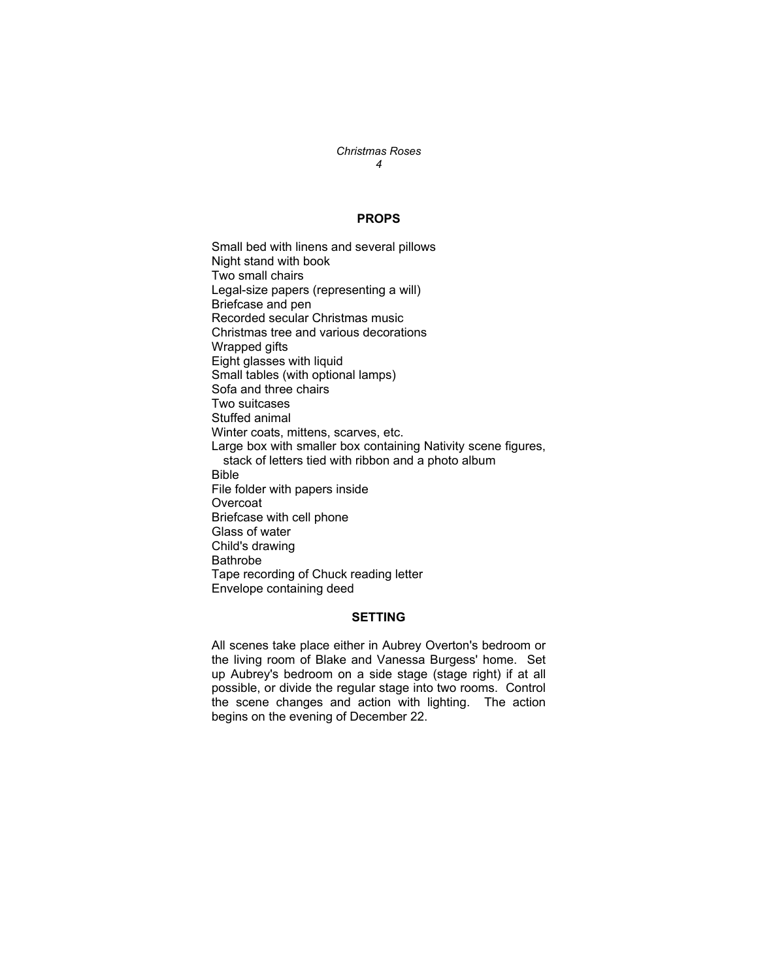#### **PROPS**

Small bed with linens and several pillows Night stand with book Two small chairs Legal-size papers (representing a will) Briefcase and pen Recorded secular Christmas music Christmas tree and various decorations Wrapped gifts Eight glasses with liquid Small tables (with optional lamps) Sofa and three chairs Two suitcases Stuffed animal Winter coats, mittens, scarves, etc. Large box with smaller box containing Nativity scene figures, stack of letters tied with ribbon and a photo album Bible File folder with papers inside **Overcoat** Briefcase with cell phone Glass of water Child's drawing Bathrobe Tape recording of Chuck reading letter Envelope containing deed

#### **SETTING**

All scenes take place either in Aubrey Overton's bedroom or the living room of Blake and Vanessa Burgess' home. Set up Aubrey's bedroom on a side stage (stage right) if at all possible, or divide the regular stage into two rooms. Control the scene changes and action with lighting. The action begins on the evening of December 22.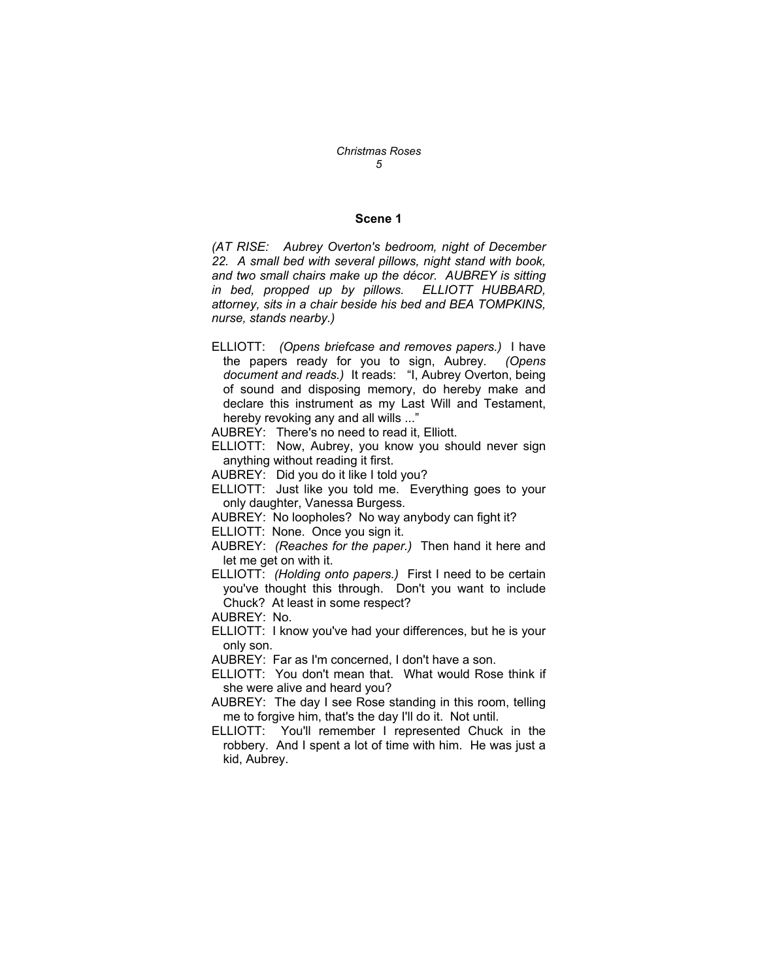#### **Scene 1**

*(AT RISE: Aubrey Overton's bedroom, night of December 22. A small bed with several pillows, night stand with book, and two small chairs make up the décor. AUBREY is sitting in bed, propped up by pillows. ELLIOTT HUBBARD, attorney, sits in a chair beside his bed and BEA TOMPKINS, nurse, stands nearby.)* 

- ELLIOTT: *(Opens briefcase and removes papers.)* I have the papers ready for you to sign, Aubrey*. (Opens document and reads.)* It reads: "I, Aubrey Overton, being of sound and disposing memory, do hereby make and declare this instrument as my Last Will and Testament, hereby revoking any and all wills ..."
- AUBREY: There's no need to read it, Elliott.
- ELLIOTT: Now, Aubrey, you know you should never sign anything without reading it first.
- AUBREY: Did you do it like I told you?
- ELLIOTT: Just like you told me. Everything goes to your only daughter, Vanessa Burgess.
- AUBREY: No loopholes? No way anybody can fight it?
- ELLIOTT: None. Once you sign it.
- AUBREY: *(Reaches for the paper.)* Then hand it here and let me get on with it.
- ELLIOTT: *(Holding onto papers.)* First I need to be certain you've thought this through. Don't you want to include Chuck? At least in some respect?
- AUBREY: No.
- ELLIOTT: I know you've had your differences, but he is your only son.

AUBREY: Far as I'm concerned, I don't have a son.

- ELLIOTT: You don't mean that. What would Rose think if she were alive and heard you?
- AUBREY: The day I see Rose standing in this room, telling me to forgive him, that's the day I'll do it. Not until.
- ELLIOTT: You'll remember I represented Chuck in the robbery. And I spent a lot of time with him. He was just a kid, Aubrey.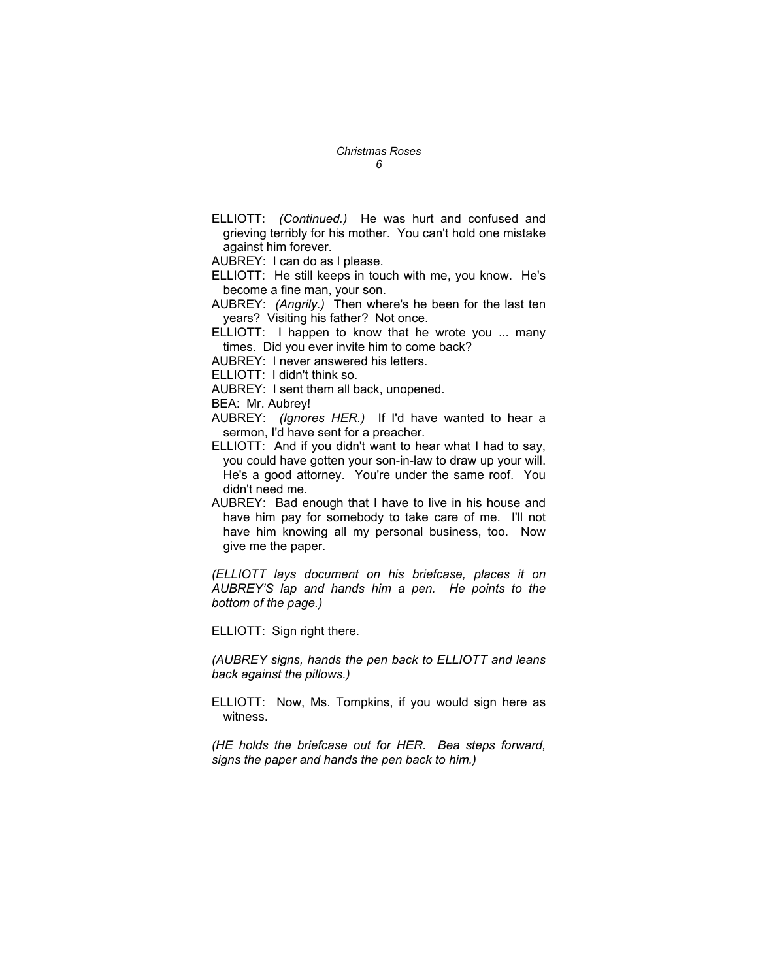ELLIOTT: *(Continued.)* He was hurt and confused and grieving terribly for his mother. You can't hold one mistake against him forever.

AUBREY: I can do as I please.

- ELLIOTT: He still keeps in touch with me, you know. He's become a fine man, your son.
- AUBREY: *(Angrily.)* Then where's he been for the last ten years? Visiting his father? Not once.
- ELLIOTT: I happen to know that he wrote you ... many times. Did you ever invite him to come back?
- AUBREY: I never answered his letters.

ELLIOTT: I didn't think so.

AUBREY: I sent them all back, unopened.

BEA: Mr. Aubrey!

- AUBREY: *(Ignores HER.)* If I'd have wanted to hear a sermon, I'd have sent for a preacher.
- ELLIOTT: And if you didn't want to hear what I had to say, you could have gotten your son-in-law to draw up your will. He's a good attorney. You're under the same roof. You didn't need me.
- AUBREY: Bad enough that I have to live in his house and have him pay for somebody to take care of me. I'll not have him knowing all my personal business, too. Now give me the paper.

*(ELLIOTT lays document on his briefcase, places it on AUBREY'S lap and hands him a pen. He points to the bottom of the page.)* 

ELLIOTT: Sign right there.

*(AUBREY signs, hands the pen back to ELLIOTT and leans back against the pillows.)* 

ELLIOTT: Now, Ms. Tompkins, if you would sign here as witness.

*(HE holds the briefcase out for HER. Bea steps forward, signs the paper and hands the pen back to him.)*